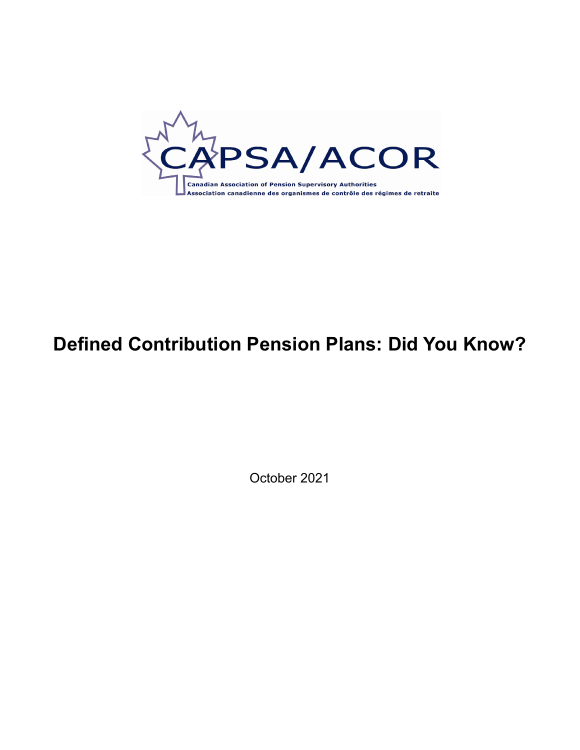

## **Defined Contribution Pension Plans: Did You Know?**

October 2021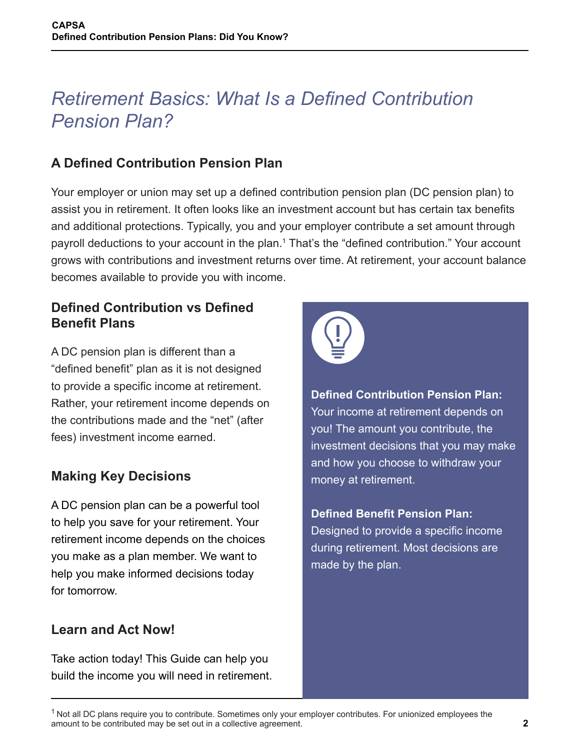## *Retirement Basics: What Is a Defined Contribution Pension Plan?*

### **A Defined Contribution Pension Plan**

Your employer or union may set up a defined contribution pension plan (DC pension plan) to assist you in retirement. It often looks like an investment account but has certain tax benefits and additional protections. Typically, you and your employer contribute a set amount through payroll deductions to your account in the plan.**<sup>1</sup>** That's the "defined contribution." Your account grows with contributions and investment returns over time. At retirement, your account balance becomes available to provide you with income.

#### **Defined Contribution vs Defined Benefit Plans**

A DC pension plan is different than a "defined benefit" plan as it is not designed to provide a specific income at retirement. Rather, your retirement income depends on the contributions made and the "net" (after fees) investment income earned.

#### **Making Key Decisions**

A DC pension plan can be a powerful tool to help you save for your retirement. Your retirement income depends on the choices you make as a plan member. We want to help you make informed decisions today for tomorrow.

#### **Learn and Act Now!**

Take action today! This Guide can help you build the income you will need in retirement.



**Defined Contribution Pension Plan:**  Your income at retirement depends on you! The amount you contribute, the investment decisions that you may make and how you choose to withdraw your money at retirement.

**Defined Benefit Pension Plan:**  Designed to provide a specific income during retirement. Most decisions are made by the plan.

**<sup>1</sup>** Not all DC plans require you to contribute. Sometimes only your employer contributes. For unionized employees the amount to be contributed may be set out in a collective agreement.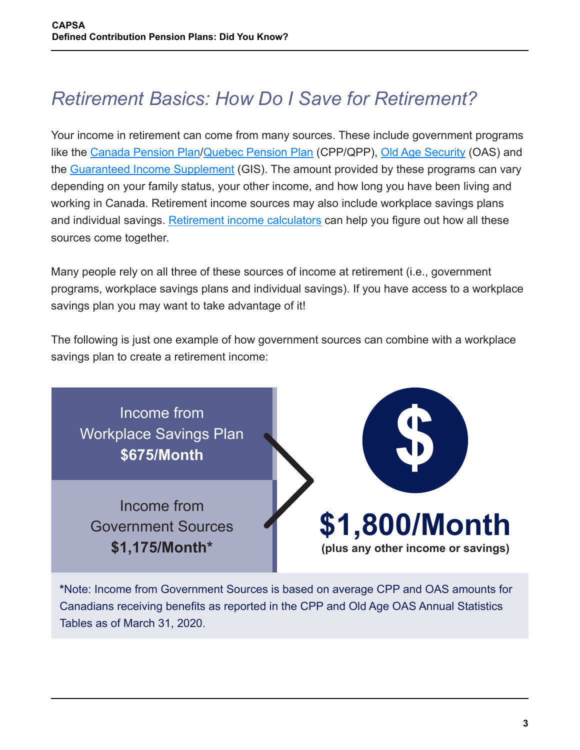# *Retirement Basics: How Do I Save for Retirement?*

Your income in retirement can come from many sources. These include government programs like the [Canada Pension Plan](https://www.canada.ca/en/services/benefits/publicpensions/cpp/cpp-benefit/amount.html)/[Quebec Pension Plan](https://www.rrq.gouv.qc.ca/en/retraite/rrq/calcul_rente/Pages/calcul_rente.aspx) (CPP/QPP), [Old Age Security](https://www.canada.ca/en/services/benefits/publicpensions/cpp/old-age-security.html) (OAS) and the [Guaranteed Income Supplement](https://www.canada.ca/en/services/benefits/publicpensions/cpp/old-age-security/guaranteed-income-supplement.html) (GIS). The amount provided by these programs can vary depending on your family status, your other income, and how long you have been living and working in Canada. Retirement income sources may also include workplace savings plans and individual savings. [Retirement income calculators](https://www.canada.ca/en/services/benefits/publicpensions/cpp/retirement-income-calculator.html) can help you figure out how all these sources come together.

Many people rely on all three of these sources of income at retirement (i.e., government programs, workplace savings plans and individual savings). If you have access to a workplace savings plan you may want to take advantage of it!

The following is just one example of how government sources can combine with a workplace savings plan to create a retirement income:



**\***Note: Income from Government Sources is based on average CPP and OAS amounts for Canadians receiving benefits as reported in the CPP and Old Age OAS Annual Statistics Tables as of March 31, 2020.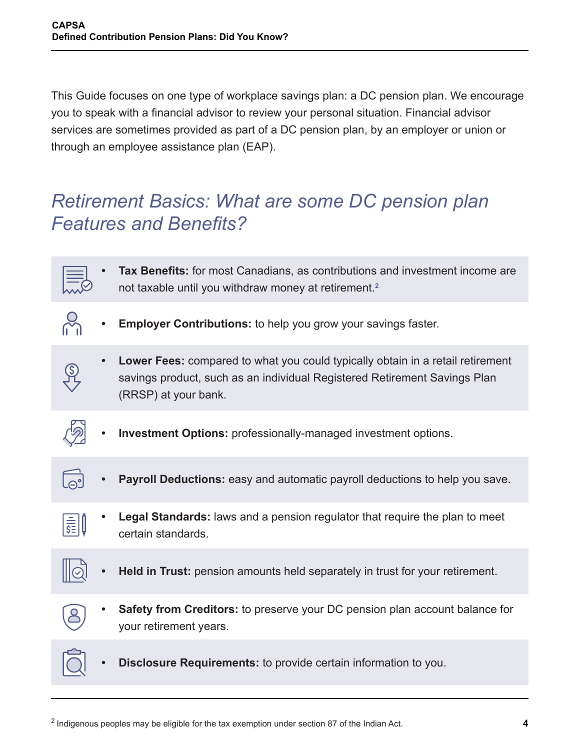This Guide focuses on one type of workplace savings plan: a DC pension plan. We encourage you to speak with a financial advisor to review your personal situation. Financial advisor services are sometimes provided as part of a DC pension plan, by an employer or union or through an employee assistance plan (EAP).

## *Retirement Basics: What are some DC pension plan Features and Benefits?*



**<sup>2</sup>** Indigenous peoples may be eligible for the tax exemption under section 87 of the Indian Act.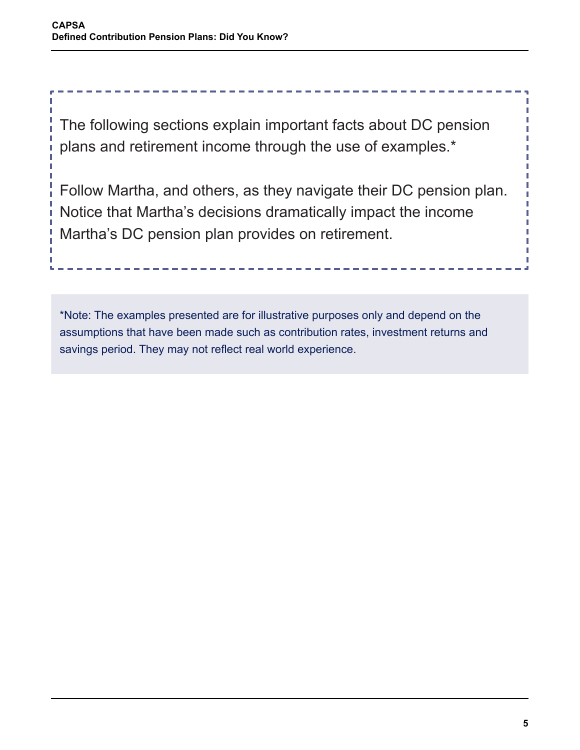The following sections explain important facts about DC pension plans and retirement income through the use of examples.\*

Follow Martha, and others, as they navigate their DC pension plan. Notice that Martha's decisions dramatically impact the income Martha's DC pension plan provides on retirement.

\*Note: The examples presented are for illustrative purposes only and depend on the assumptions that have been made such as contribution rates, investment returns and savings period. They may not reflect real world experience.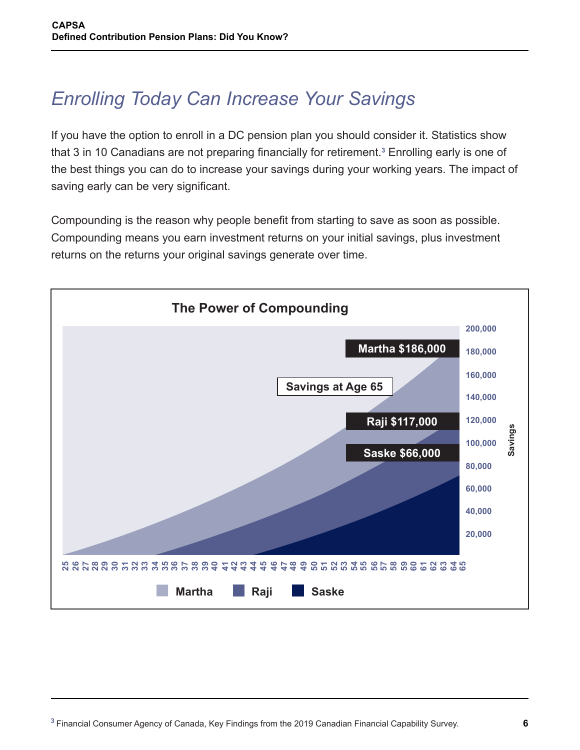# *Enrolling Today Can Increase Your Savings*

If you have the option to enroll in a DC pension plan you should consider it. Statistics show that 3 in 10 Canadians are not preparing financially for retirement.**<sup>3</sup>** Enrolling early is one of the best things you can do to increase your savings during your working years. The impact of saving early can be very significant.

Compounding is the reason why people benefit from starting to save as soon as possible. Compounding means you earn investment returns on your initial savings, plus investment returns on the returns your original savings generate over time.

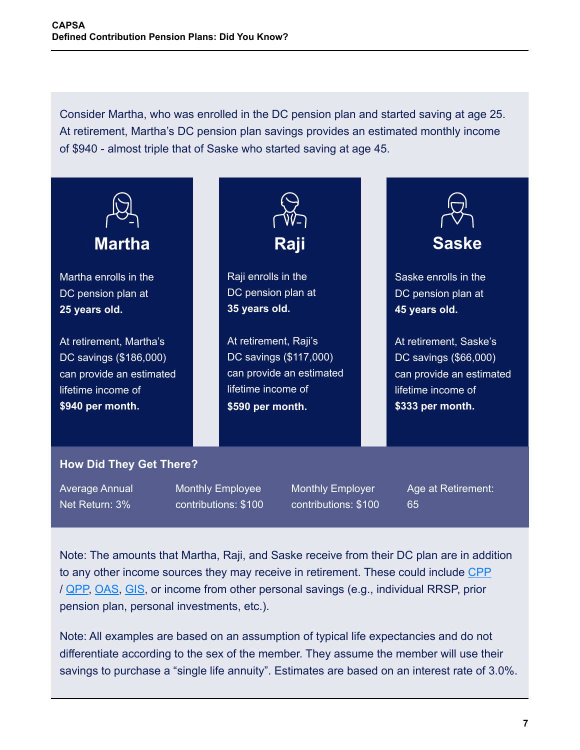Consider Martha, who was enrolled in the DC pension plan and started saving at age 25. At retirement, Martha's DC pension plan savings provides an estimated monthly income of \$940 - almost triple that of Saske who started saving at age 45.



Average Annual Net Return: 3%

Monthly Employee contributions: \$100 Monthly Employer contributions: \$100 Age at Retirement: 65

Note: The amounts that Martha, Raji, and Saske receive from their DC plan are in addition to any other income sources they may receive in retirement. These could include [CPP](https://www.canada.ca/en/services/benefits/publicpensions/cpp/cpp-benefit/amount.html) / [QPP](https://www.rrq.gouv.qc.ca/en/retraite/rrq/calcul_rente/Pages/calcul_rente.aspx), [OAS](https://www.canada.ca/en/services/benefits/publicpensions/cpp/old-age-security.html), [GIS](https://www.canada.ca/en/services/benefits/publicpensions/cpp/old-age-security/guaranteed-income-supplement.html), or income from other personal savings (e.g., individual RRSP, prior pension plan, personal investments, etc.).

Note: All examples are based on an assumption of typical life expectancies and do not differentiate according to the sex of the member. They assume the member will use their savings to purchase a "single life annuity". Estimates are based on an interest rate of 3.0%.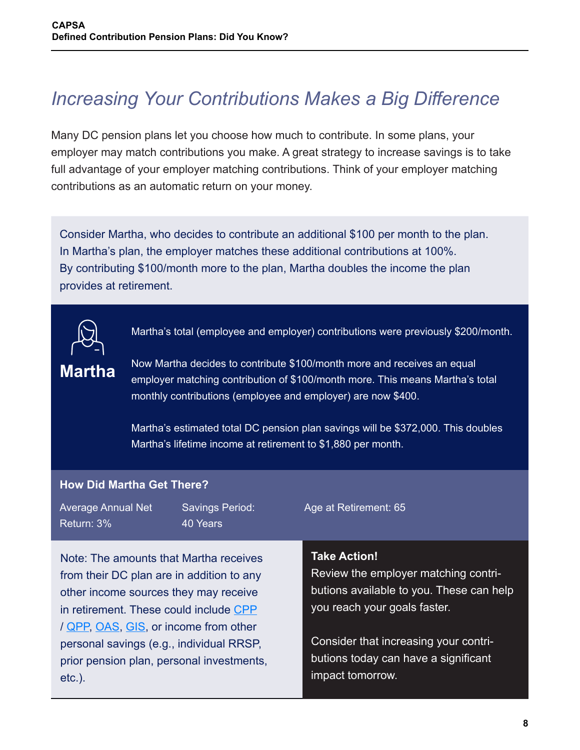# *Increasing Your Contributions Makes a Big Difference*

Many DC pension plans let you choose how much to contribute. In some plans, your employer may match contributions you make. A great strategy to increase savings is to take full advantage of your employer matching contributions. Think of your employer matching contributions as an automatic return on your money.

Consider Martha, who decides to contribute an additional \$100 per month to the plan. In Martha's plan, the employer matches these additional contributions at 100%. By contributing \$100/month more to the plan, Martha doubles the income the plan provides at retirement.



Martha's total (employee and employer) contributions were previously \$200/month.

## **Martha**

etc.).

Now Martha decides to contribute \$100/month more and receives an equal employer matching contribution of \$100/month more. This means Martha's total monthly contributions (employee and employer) are now \$400.

Martha's estimated total DC pension plan savings will be \$372,000. This doubles Martha's lifetime income at retirement to \$1,880 per month.

impact tomorrow.

#### **How Did Martha Get There?**

Note: The amounts that Martha receives from their DC plan are in addition to any Average Annual Net Return: 3% Savings Period: 40 Years Age at Retirement: 65 **Take Action!** Review the employer matching contri-

other income sources they may receive in retirement. These could include [CPP](https://www.canada.ca/en/services/benefits/publicpensions/cpp/cpp-benefit/amount.html) / [QPP](https://www.rrq.gouv.qc.ca/en/retraite/rrq/calcul_rente/Pages/calcul_rente.aspx), [OAS](https://www.canada.ca/en/services/benefits/publicpensions/cpp/old-age-security.html), [GIS](https://www.canada.ca/en/services/benefits/publicpensions/cpp/old-age-security/guaranteed-income-supplement.html), or income from other personal savings (e.g., individual RRSP, prior pension plan, personal investments, butions available to you. These can help you reach your goals faster. Consider that increasing your contributions today can have a significant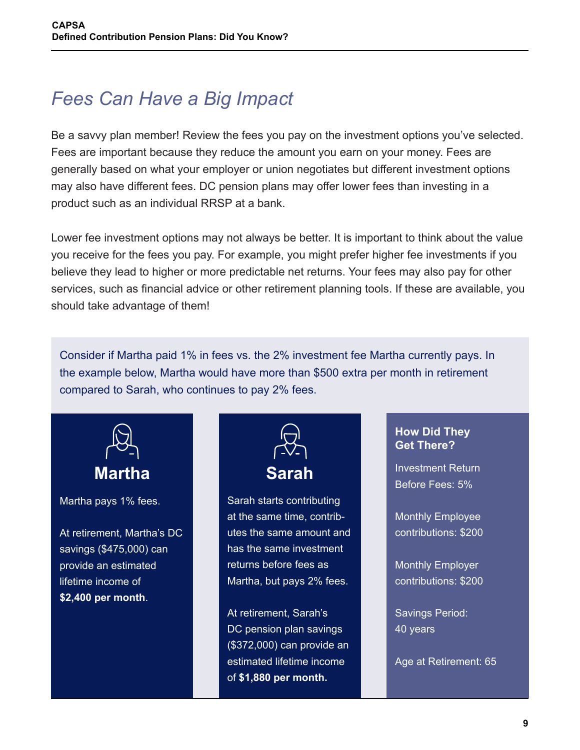# *Fees Can Have a Big Impact*

Be a savvy plan member! Review the fees you pay on the investment options you've selected. Fees are important because they reduce the amount you earn on your money. Fees are generally based on what your employer or union negotiates but different investment options may also have different fees. DC pension plans may offer lower fees than investing in a product such as an individual RRSP at a bank.

Lower fee investment options may not always be better. It is important to think about the value you receive for the fees you pay. For example, you might prefer higher fee investments if you believe they lead to higher or more predictable net returns. Your fees may also pay for other services, such as financial advice or other retirement planning tools. If these are available, you should take advantage of them!

Consider if Martha paid 1% in fees vs. the 2% investment fee Martha currently pays. In the example below, Martha would have more than \$500 extra per month in retirement compared to Sarah, who continues to pay 2% fees.



Martha pays 1% fees.

At retirement, Martha's DC savings (\$475,000) can provide an estimated lifetime income of **\$2,400 per month**.



Sarah starts contributing at the same time, contributes the same amount and has the same investment returns before fees as Martha, but pays 2% fees.

At retirement, Sarah's DC pension plan savings (\$372,000) can provide an estimated lifetime income of **\$1,880 per month.**

#### **How Did They Get There?**

Investment Return Before Fees: 5%

Monthly Employee contributions: \$200

Monthly Employer contributions: \$200

Savings Period: 40 years

Age at Retirement: 65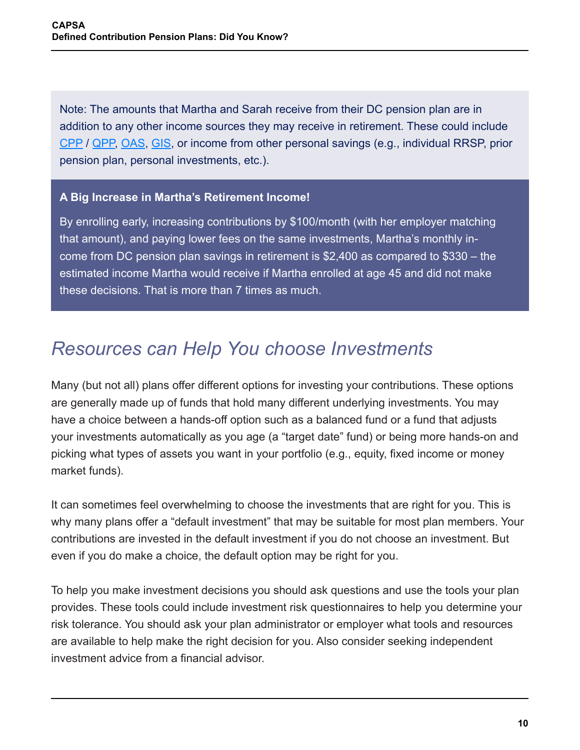Note: The amounts that Martha and Sarah receive from their DC pension plan are in addition to any other income sources they may receive in retirement. These could include [CPP](https://www.canada.ca/en/services/benefits/publicpensions/cpp/cpp-benefit/amount.html) / [QPP](https://www.rrq.gouv.qc.ca/en/retraite/rrq/calcul_rente/Pages/calcul_rente.aspx), [OAS](https://www.canada.ca/en/services/benefits/publicpensions/cpp/old-age-security.html), [GIS](https://www.canada.ca/en/services/benefits/publicpensions/cpp/old-age-security/guaranteed-income-supplement.html), or income from other personal savings (e.g., individual RRSP, prior pension plan, personal investments, etc.).

#### **A Big Increase in Martha's Retirement Income!**

By enrolling early, increasing contributions by \$100/month (with her employer matching that amount), and paying lower fees on the same investments, Martha's monthly income from DC pension plan savings in retirement is \$2,400 as compared to \$330 – the estimated income Martha would receive if Martha enrolled at age 45 and did not make these decisions. That is more than 7 times as much.

### *Resources can Help You choose Investments*

Many (but not all) plans offer different options for investing your contributions. These options are generally made up of funds that hold many different underlying investments. You may have a choice between a hands-off option such as a balanced fund or a fund that adjusts your investments automatically as you age (a "target date" fund) or being more hands-on and picking what types of assets you want in your portfolio (e.g., equity, fixed income or money market funds).

It can sometimes feel overwhelming to choose the investments that are right for you. This is why many plans offer a "default investment" that may be suitable for most plan members. Your contributions are invested in the default investment if you do not choose an investment. But even if you do make a choice, the default option may be right for you.

To help you make investment decisions you should ask questions and use the tools your plan provides. These tools could include investment risk questionnaires to help you determine your risk tolerance. You should ask your plan administrator or employer what tools and resources are available to help make the right decision for you. Also consider seeking independent investment advice from a financial advisor.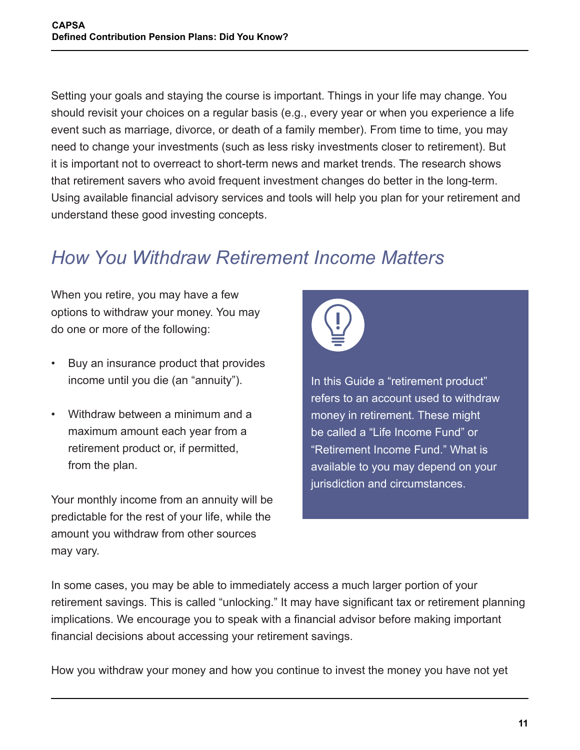Setting your goals and staying the course is important. Things in your life may change. You should revisit your choices on a regular basis (e.g., every year or when you experience a life event such as marriage, divorce, or death of a family member). From time to time, you may need to change your investments (such as less risky investments closer to retirement). But it is important not to overreact to short-term news and market trends. The research shows that retirement savers who avoid frequent investment changes do better in the long-term. Using available financial advisory services and tools will help you plan for your retirement and understand these good investing concepts.

# *How You Withdraw Retirement Income Matters*

When you retire, you may have a few options to withdraw your money. You may do one or more of the following:

- Buy an insurance product that provides income until you die (an "annuity").
- Withdraw between a minimum and a maximum amount each year from a retirement product or, if permitted, from the plan.

Your monthly income from an annuity will be predictable for the rest of your life, while the amount you withdraw from other sources may vary.



In this Guide a "retirement product" refers to an account used to withdraw money in retirement. These might be called a "Life Income Fund" or "Retirement Income Fund." What is available to you may depend on your jurisdiction and circumstances.

In some cases, you may be able to immediately access a much larger portion of your retirement savings. This is called "unlocking." It may have significant tax or retirement planning implications. We encourage you to speak with a financial advisor before making important financial decisions about accessing your retirement savings.

How you withdraw your money and how you continue to invest the money you have not yet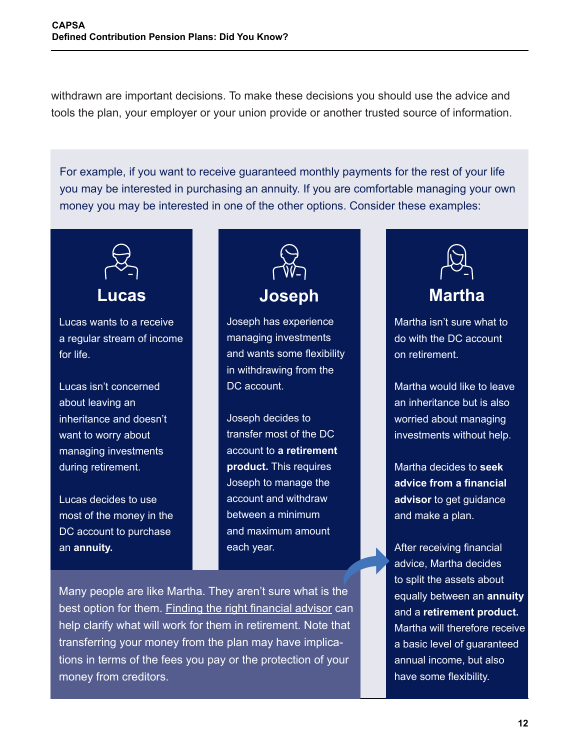withdrawn are important decisions. To make these decisions you should use the advice and tools the plan, your employer or your union provide or another trusted source of information.

For example, if you want to receive guaranteed monthly payments for the rest of your life you may be interested in purchasing an annuity. If you are comfortable managing your own money you may be interested in one of the other options. Consider these examples:



Lucas wants to a receive a regular stream of income for life.

Lucas isn't concerned about leaving an inheritance and doesn't want to worry about managing investments during retirement.

Lucas decides to use most of the money in the DC account to purchase an **annuity.**



Joseph has experience managing investments and wants some flexibility in withdrawing from the DC account.

Joseph decides to transfer most of the DC account to **a retirement product.** This requires Joseph to manage the account and withdraw between a minimum and maximum amount each year.

Many people are like Martha. They aren't sure what is the best option for them. [Finding the right financial advisor](https://www.canada.ca/en/financial-consumer-agency/services/savings-investments/choose-financial-advisor.html) can help clarify what will work for them in retirement. Note that transferring your money from the plan may have implications in terms of the fees you pay or the protection of your money from creditors.



Martha isn't sure what to do with the DC account on retirement.

Martha would like to leave an inheritance but is also worried about managing investments without help.

Martha decides to **seek advice from a financial advisor** to get guidance and make a plan.

After receiving financial advice, Martha decides to split the assets about equally between an **annuity**  and a **retirement product.**  Martha will therefore receive a basic level of guaranteed annual income, but also have some flexibility.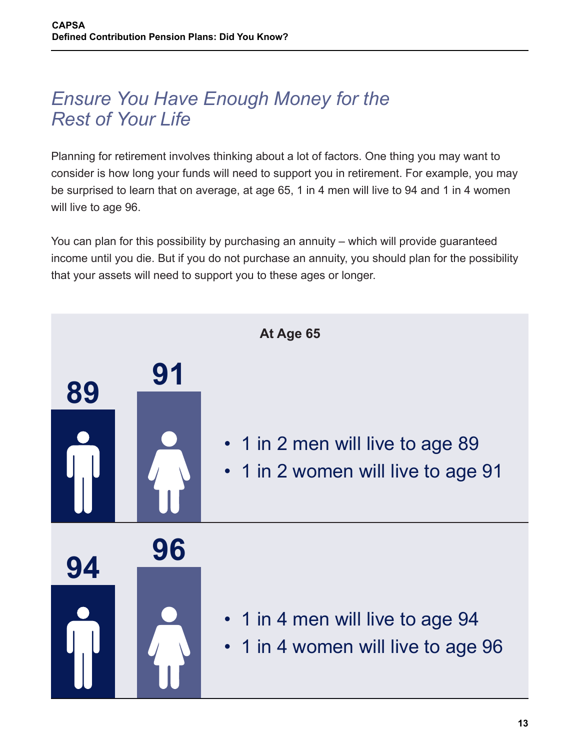### *Ensure You Have Enough Money for the Rest of Your Life*

Planning for retirement involves thinking about a lot of factors. One thing you may want to consider is how long your funds will need to support you in retirement. For example, you may be surprised to learn that on average, at age 65, 1 in 4 men will live to 94 and 1 in 4 women will live to age 96.

You can plan for this possibility by purchasing an annuity – which will provide guaranteed income until you die. But if you do not purchase an annuity, you should plan for the possibility that your assets will need to support you to these ages or longer.

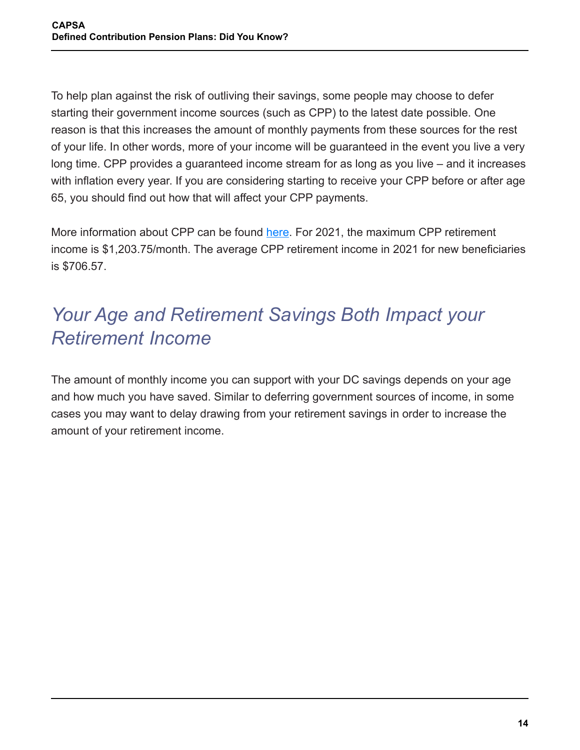To help plan against the risk of outliving their savings, some people may choose to defer starting their government income sources (such as CPP) to the latest date possible. One reason is that this increases the amount of monthly payments from these sources for the rest of your life. In other words, more of your income will be guaranteed in the event you live a very long time. CPP provides a guaranteed income stream for as long as you live – and it increases with inflation every year. If you are considering starting to receive your CPP before or after age 65, you should find out how that will affect your CPP payments.

More information about CPP can be found [here](https://www.canada.ca/en/services/benefits/publicpensions/cpp.html). For 2021, the maximum CPP retirement income is \$1,203.75/month. The average CPP retirement income in 2021 for new beneficiaries is \$706.57.

# *Your Age and Retirement Savings Both Impact your Retirement Income*

The amount of monthly income you can support with your DC savings depends on your age and how much you have saved. Similar to deferring government sources of income, in some cases you may want to delay drawing from your retirement savings in order to increase the amount of your retirement income.